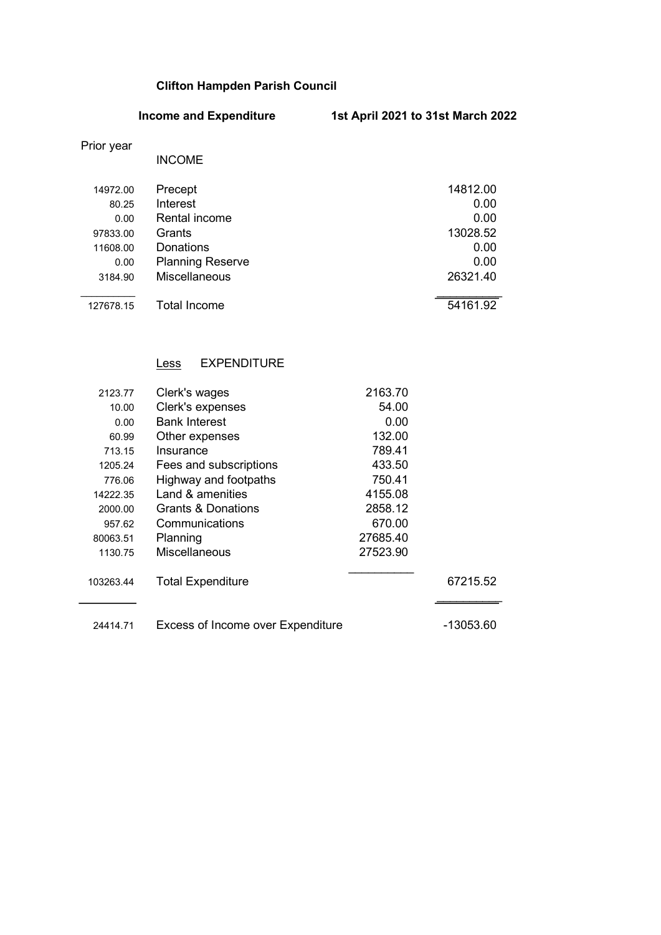# Clifton Hampden Parish Council

Income and Expenditure 1st April 2021 to 31st March 2022

## Prior year

|           | <b>INCOME</b>           |          |
|-----------|-------------------------|----------|
| 14972.00  | Precept                 | 14812.00 |
| 80.25     | <b>Interest</b>         | 0.00     |
| 0.00      | Rental income           | 0.00     |
| 97833.00  | Grants                  | 13028.52 |
| 11608.00  | Donations               | 0.00     |
| 0.00      | <b>Planning Reserve</b> | 0.00     |
| 3184.90   | <b>Miscellaneous</b>    | 26321.40 |
|           |                         |          |
| 127678.15 | <b>Total Income</b>     | 54161.92 |

# Less EXPENDITURE

| 2123.77   | Clerk's wages                     | 2163.70  |           |
|-----------|-----------------------------------|----------|-----------|
| 10.00     | Clerk's expenses                  | 54.00    |           |
| 0.00      | <b>Bank Interest</b>              | 0.00     |           |
| 60.99     | Other expenses                    | 132.00   |           |
| 713.15    | Insurance                         | 789.41   |           |
| 1205.24   | Fees and subscriptions            | 433.50   |           |
| 776.06    | Highway and footpaths             | 750.41   |           |
| 14222.35  | Land & amenities                  | 4155.08  |           |
| 2000.00   | <b>Grants &amp; Donations</b>     | 2858.12  |           |
| 957.62    | Communications                    | 670.00   |           |
| 80063.51  | Planning                          | 27685.40 |           |
| 1130.75   | Miscellaneous                     | 27523.90 |           |
| 103263.44 | <b>Total Expenditure</b>          |          | 67215.52  |
| 24414.71  | Excess of Income over Expenditure |          | -13053.60 |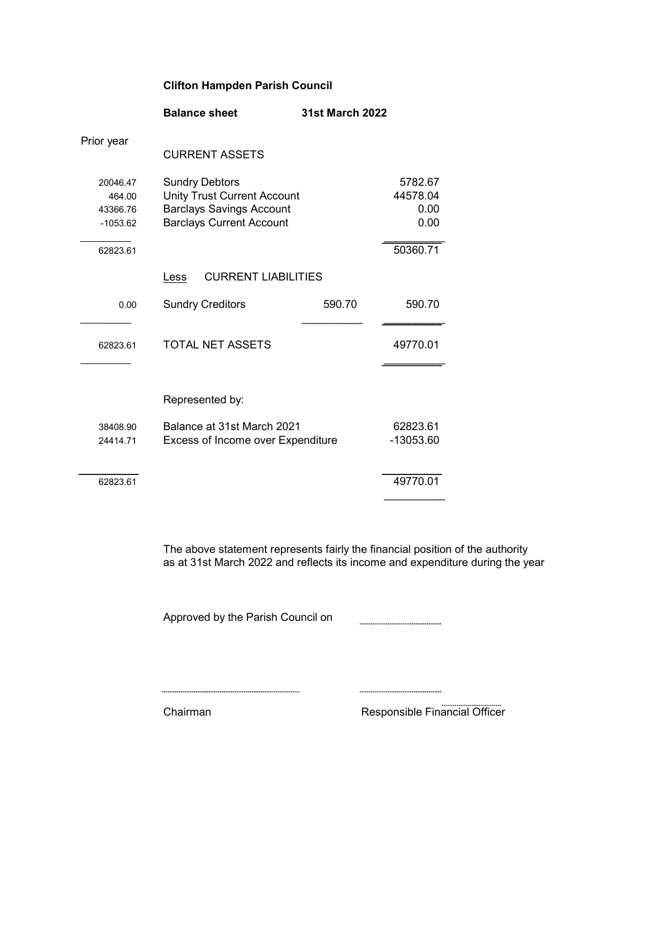## Clifton Hampden Parish Council

|                                              | <b>Balance sheet</b>                                                                                                              | <b>31st March 2022</b>              |                       |
|----------------------------------------------|-----------------------------------------------------------------------------------------------------------------------------------|-------------------------------------|-----------------------|
| Prior year                                   | <b>CURRENT ASSETS</b>                                                                                                             |                                     |                       |
| 20046.47<br>464.00<br>43366.76<br>$-1053.62$ | <b>Sundry Debtors</b><br><b>Unity Trust Current Account</b><br><b>Barclays Savings Account</b><br><b>Barclays Current Account</b> | 5782.67<br>44578.04<br>0.00<br>0.00 |                       |
| 62823.61                                     |                                                                                                                                   |                                     | 50360.71              |
|                                              | <b>CURRENT LIABILITIES</b><br>Less                                                                                                |                                     |                       |
| 0.00                                         | <b>Sundry Creditors</b>                                                                                                           | 590.70                              | 590.70                |
| 62823.61                                     | TOTAL NET ASSETS                                                                                                                  |                                     | 49770.01              |
|                                              | Represented by:                                                                                                                   |                                     |                       |
| 38408.90<br>24414.71                         | Balance at 31st March 2021<br>Excess of Income over Expenditure                                                                   |                                     | 62823.61<br>-13053.60 |
| 62823.61                                     |                                                                                                                                   |                                     | 49770.01              |

The above statement represents fairly the financial position of the authority as at 31st March 2022 and reflects its income and expenditure during the year

Approved by the Parish Council on 

Chairman Responsible Financial Officer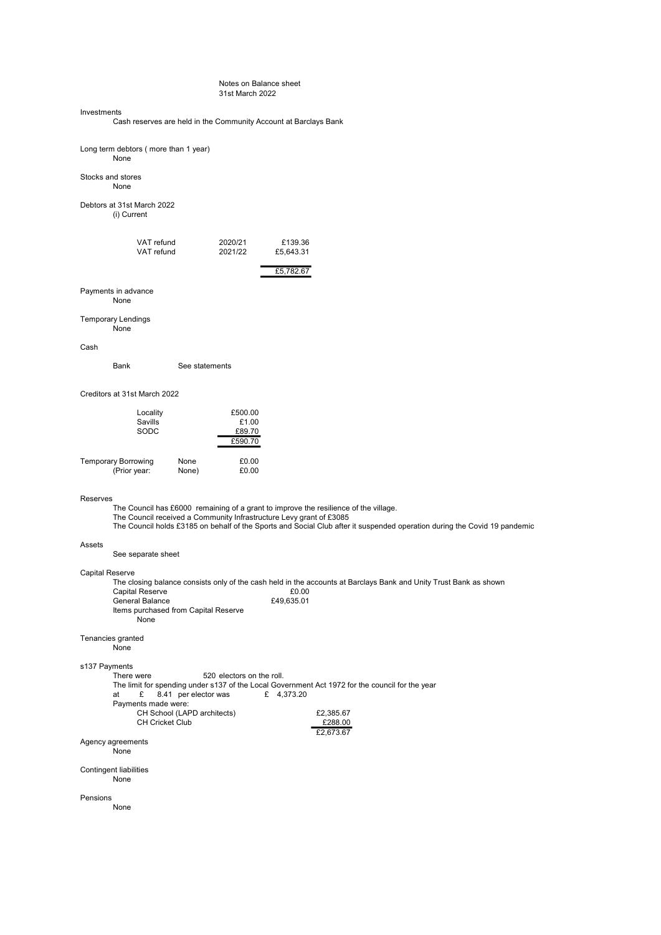#### Notes on Balance sheet 31st March 2022

#### Investments

Cash reserves are held in the Community Account at Barclays Bank

| Long term debtors (more than 1 year)<br>None                                            |                                                                                  |                                                                                                                                                                                                                   |  |
|-----------------------------------------------------------------------------------------|----------------------------------------------------------------------------------|-------------------------------------------------------------------------------------------------------------------------------------------------------------------------------------------------------------------|--|
| Stocks and stores<br>None                                                               |                                                                                  |                                                                                                                                                                                                                   |  |
| Debtors at 31st March 2022<br>(i) Current                                               |                                                                                  |                                                                                                                                                                                                                   |  |
| VAT refund<br>VAT refund                                                                | 2020/21<br>2021/22                                                               | £139.36<br>£5,643.31<br>£5,782.67                                                                                                                                                                                 |  |
| Payments in advance<br>None                                                             |                                                                                  |                                                                                                                                                                                                                   |  |
| <b>Temporary Lendings</b><br>None                                                       |                                                                                  |                                                                                                                                                                                                                   |  |
| Cash                                                                                    |                                                                                  |                                                                                                                                                                                                                   |  |
| Bank                                                                                    | See statements                                                                   |                                                                                                                                                                                                                   |  |
| Creditors at 31st March 2022                                                            |                                                                                  |                                                                                                                                                                                                                   |  |
| Locality<br>Savills<br>SODC                                                             | £500.00<br>£1.00<br>£89.70<br>£590.70                                            |                                                                                                                                                                                                                   |  |
| <b>Temporary Borrowing</b><br>(Prior year:                                              | None<br>£0.00<br>£0.00<br>None)                                                  |                                                                                                                                                                                                                   |  |
| Reserves                                                                                | The Council received a Community Infrastructure Levy grant of £3085              | The Council has £6000 remaining of a grant to improve the resilience of the village.<br>The Council holds £3185 on behalf of the Sports and Social Club after it suspended operation during the Covid 19 pandemic |  |
| Assets<br>See separate sheet                                                            |                                                                                  |                                                                                                                                                                                                                   |  |
| Capital Reserve<br><b>Capital Reserve</b><br>General Balance<br>None                    | Items purchased from Capital Reserve                                             | The closing balance consists only of the cash held in the accounts at Barclays Bank and Unity Trust Bank as shown<br>£0.00<br>£49,635.01                                                                          |  |
| Tenancies granted<br>None                                                               |                                                                                  |                                                                                                                                                                                                                   |  |
| s137 Payments<br>There were<br>at<br>£<br>Payments made were:<br><b>CH Cricket Club</b> | 520 electors on the roll.<br>8.41 per elector was<br>CH School (LAPD architects) | The limit for spending under s137 of the Local Government Act 1972 for the council for the year<br>£ 4,373.20<br>£2,385.67<br>£288.00                                                                             |  |
| Agency agreements<br>None                                                               |                                                                                  | £2,673.67                                                                                                                                                                                                         |  |
| <b>Contingent liabilities</b><br>None                                                   |                                                                                  |                                                                                                                                                                                                                   |  |
| Pensions<br>None                                                                        |                                                                                  |                                                                                                                                                                                                                   |  |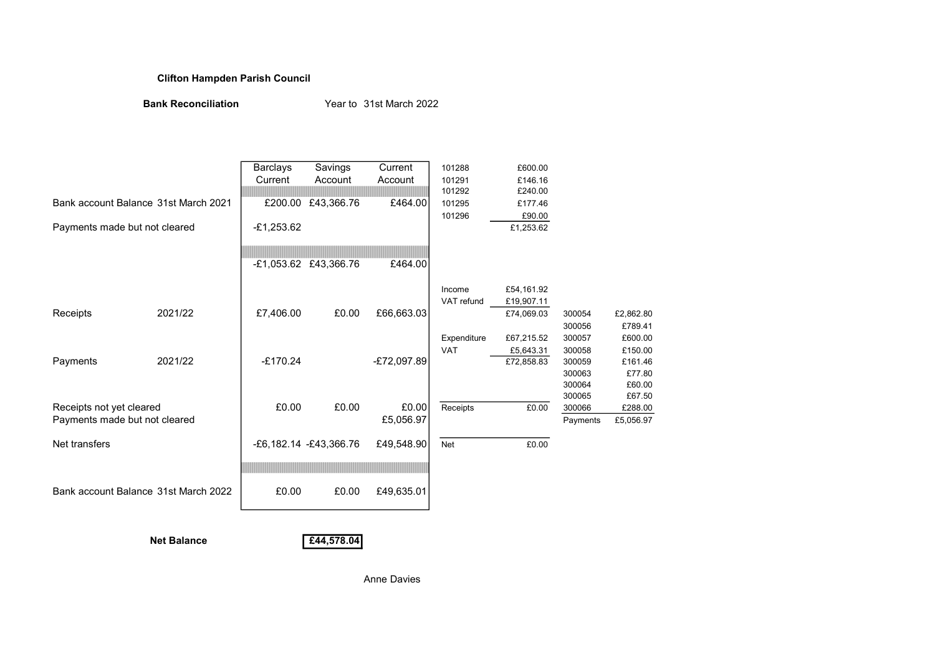### Clifton Hampden Parish Council

Bank Reconciliation Year to 31st March 2022

|                                      |         | <b>Barclays</b> | Savings                   | Current       | 101288      | £600.00    |          |           |
|--------------------------------------|---------|-----------------|---------------------------|---------------|-------------|------------|----------|-----------|
|                                      |         | Current         | Account                   | Account       | 101291      | £146.16    |          |           |
|                                      |         |                 |                           |               | 101292      | £240.00    |          |           |
| Bank account Balance 31st March 2021 |         | £200.00         | £43,366.76                | £464.00       | 101295      | £177.46    |          |           |
|                                      |         |                 |                           |               | 101296      | £90.00     |          |           |
| Payments made but not cleared        |         | $-£1,253.62$    |                           |               |             | £1,253.62  |          |           |
|                                      |         |                 |                           |               |             |            |          |           |
|                                      |         |                 | -£1,053.62 £43,366.76     | £464.00       |             |            |          |           |
|                                      |         |                 |                           |               | Income      | £54,161.92 |          |           |
|                                      |         |                 |                           |               | VAT refund  | £19,907.11 |          |           |
| Receipts                             | 2021/22 | £7,406.00       | £0.00                     | £66,663.03    |             | £74,069.03 | 300054   | £2,862.80 |
|                                      |         |                 |                           |               |             |            | 300056   | £789.41   |
|                                      |         |                 |                           |               | Expenditure | £67,215.52 | 300057   | £600.00   |
|                                      |         |                 |                           |               | <b>VAT</b>  | £5,643.31  | 300058   | £150.00   |
| Payments                             | 2021/22 | $-£170.24$      |                           | $-£72,097.89$ |             | £72,858.83 | 300059   | £161.46   |
|                                      |         |                 |                           |               |             |            | 300063   | £77.80    |
|                                      |         |                 |                           |               |             |            | 300064   | £60.00    |
|                                      |         |                 |                           |               |             |            | 300065   | £67.50    |
| Receipts not yet cleared             |         | £0.00           | £0.00                     | £0.00         | Receipts    | £0.00      | 300066   | £288.00   |
| Payments made but not cleared        |         |                 |                           | £5,056.97     |             |            | Payments | £5,056.97 |
| Net transfers                        |         |                 | $-E6,182.14 - E43,366.76$ | £49,548.90    | <b>Net</b>  | £0.00      |          |           |
|                                      |         |                 |                           |               |             |            |          |           |
|                                      |         |                 |                           |               |             |            |          |           |
| Bank account Balance 31st March 2022 | £0.00   | £0.00           | £49,635.01                |               |             |            |          |           |

Net Balance **E44,578.04** 

Anne Davies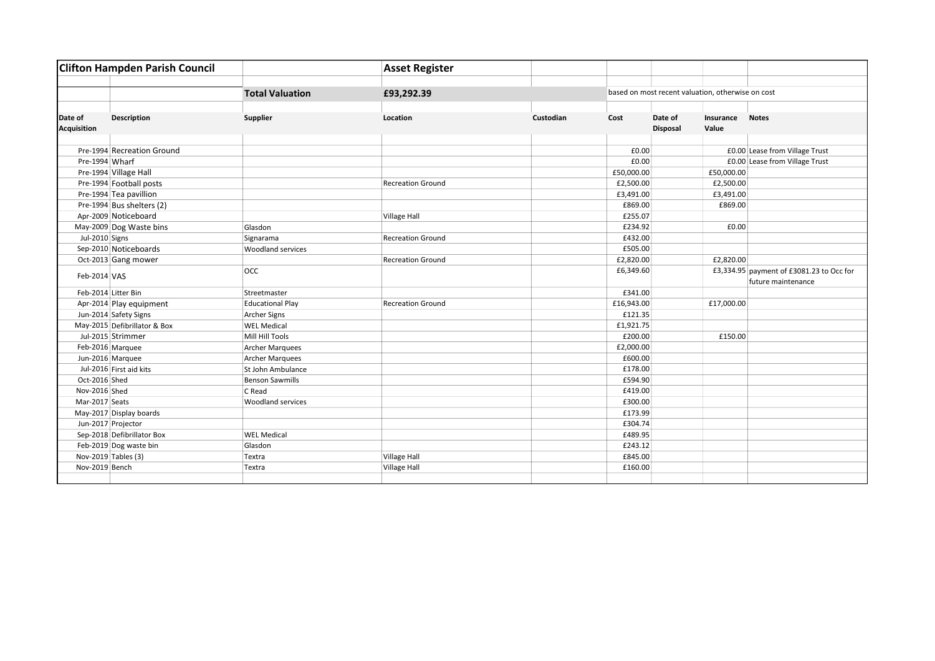| <b>Clifton Hampden Parish Council</b> |                              |                          | <b>Asset Register</b>    |           |            |                                                   |                                                                |  |  |  |  |  |  |
|---------------------------------------|------------------------------|--------------------------|--------------------------|-----------|------------|---------------------------------------------------|----------------------------------------------------------------|--|--|--|--|--|--|
|                                       |                              | <b>Total Valuation</b>   | £93,292.39               |           |            | based on most recent valuation, otherwise on cost |                                                                |  |  |  |  |  |  |
|                                       |                              |                          |                          |           |            |                                                   |                                                                |  |  |  |  |  |  |
| Date of<br><b>Acquisition</b>         | <b>Description</b>           | Supplier                 | Location                 | Custodian | Cost       | Date of<br><b>Disposal</b>                        | <b>Notes</b><br>Insurance<br>Value                             |  |  |  |  |  |  |
|                                       |                              |                          |                          |           |            |                                                   |                                                                |  |  |  |  |  |  |
|                                       | Pre-1994 Recreation Ground   |                          |                          |           | £0.00      |                                                   | £0.00 Lease from Village Trust                                 |  |  |  |  |  |  |
| Pre-1994 Wharf                        |                              |                          |                          |           | £0.00      |                                                   | £0.00 Lease from Village Trust                                 |  |  |  |  |  |  |
|                                       | Pre-1994 Village Hall        |                          |                          |           | £50,000.00 |                                                   | £50,000.00                                                     |  |  |  |  |  |  |
|                                       | Pre-1994 Football posts      |                          | <b>Recreation Ground</b> |           | £2,500.00  |                                                   | £2,500.00                                                      |  |  |  |  |  |  |
|                                       | Pre-1994 Tea pavillion       |                          |                          |           | £3,491.00  |                                                   | £3,491.00                                                      |  |  |  |  |  |  |
|                                       | Pre-1994 Bus shelters (2)    |                          |                          |           | £869.00    |                                                   | £869.00                                                        |  |  |  |  |  |  |
|                                       | Apr-2009 Noticeboard         |                          | Village Hall             |           | £255.07    |                                                   |                                                                |  |  |  |  |  |  |
|                                       | May-2009 Dog Waste bins      | Glasdon                  |                          |           | £234.92    |                                                   | £0.00                                                          |  |  |  |  |  |  |
| Jul-2010 Signs                        |                              | Signarama                | <b>Recreation Ground</b> |           | £432.00    |                                                   |                                                                |  |  |  |  |  |  |
|                                       | Sep-2010 Noticeboards        | <b>Woodland services</b> |                          |           | £505.00    |                                                   |                                                                |  |  |  |  |  |  |
|                                       | Oct-2013 Gang mower          |                          | <b>Recreation Ground</b> |           | £2,820.00  |                                                   | £2,820.00                                                      |  |  |  |  |  |  |
| Feb-2014 VAS                          |                              | <b>OCC</b>               |                          |           | £6,349.60  |                                                   | £3,334.95 payment of £3081.23 to Occ for<br>future maintenance |  |  |  |  |  |  |
| Feb-2014 Litter Bin                   |                              | Streetmaster             |                          |           | £341.00    |                                                   |                                                                |  |  |  |  |  |  |
|                                       | Apr-2014 Play equipment      | <b>Educational Play</b>  | <b>Recreation Ground</b> |           | £16,943.00 |                                                   | £17,000.00                                                     |  |  |  |  |  |  |
|                                       | Jun-2014 Safety Signs        | Archer Signs             |                          |           | £121.35    |                                                   |                                                                |  |  |  |  |  |  |
|                                       | May-2015 Defibrillator & Box | <b>WEL Medical</b>       |                          |           | £1,921.75  |                                                   |                                                                |  |  |  |  |  |  |
|                                       | Jul-2015 Strimmer            | Mill Hill Tools          |                          |           | £200.00    |                                                   | £150.00                                                        |  |  |  |  |  |  |
|                                       | Feb-2016 Marquee             | <b>Archer Marquees</b>   |                          |           | £2,000.00  |                                                   |                                                                |  |  |  |  |  |  |
| Jun-2016 Marquee                      |                              | <b>Archer Marquees</b>   |                          |           | £600.00    |                                                   |                                                                |  |  |  |  |  |  |
|                                       | Jul-2016 First aid kits      | St John Ambulance        |                          |           | £178.00    |                                                   |                                                                |  |  |  |  |  |  |
| Oct-2016 Shed                         |                              | <b>Benson Sawmills</b>   |                          |           | £594.90    |                                                   |                                                                |  |  |  |  |  |  |
| Nov-2016 Shed                         |                              | C Read                   |                          |           | £419.00    |                                                   |                                                                |  |  |  |  |  |  |
| Mar-2017 Seats                        |                              | <b>Woodland services</b> |                          |           | £300.00    |                                                   |                                                                |  |  |  |  |  |  |
|                                       | May-2017 Display boards      |                          |                          |           | £173.99    |                                                   |                                                                |  |  |  |  |  |  |
| Jun-2017 Projector                    |                              |                          |                          |           | £304.74    |                                                   |                                                                |  |  |  |  |  |  |
|                                       | Sep-2018 Defibrillator Box   | <b>WEL Medical</b>       |                          |           | £489.95    |                                                   |                                                                |  |  |  |  |  |  |
|                                       | Feb-2019 Dog waste bin       | Glasdon                  |                          |           | £243.12    |                                                   |                                                                |  |  |  |  |  |  |
| Nov-2019 Tables (3)                   |                              | Textra                   | <b>Village Hall</b>      |           | £845.00    |                                                   |                                                                |  |  |  |  |  |  |
| Nov-2019 Bench                        |                              | Textra                   | <b>Village Hall</b>      |           | £160.00    |                                                   |                                                                |  |  |  |  |  |  |
|                                       |                              |                          |                          |           |            |                                                   |                                                                |  |  |  |  |  |  |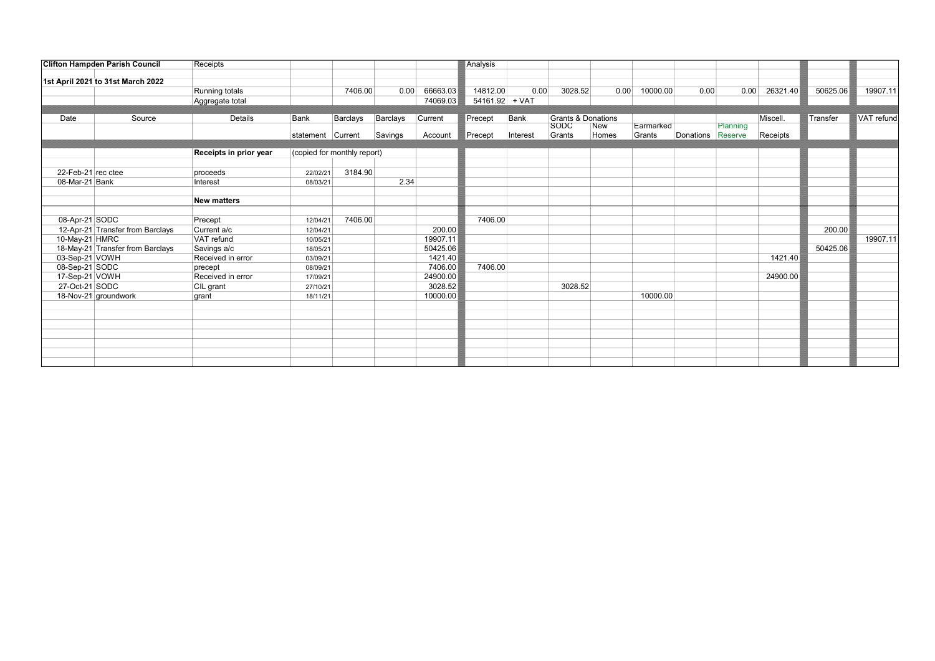|                    | <b>Clifton Hampden Parish Council</b> | Receipts               |                   |                             |          |          | Analysis         |          |                               |       |           |                   |          |          |          |            |
|--------------------|---------------------------------------|------------------------|-------------------|-----------------------------|----------|----------|------------------|----------|-------------------------------|-------|-----------|-------------------|----------|----------|----------|------------|
|                    | 1st April 2021 to 31st March 2022     |                        |                   |                             |          |          |                  |          |                               |       |           |                   |          |          |          |            |
|                    |                                       | Running totals         |                   | 7406.00                     | 0.00     | 66663.03 | 14812.00         | 0.00     | 3028.52                       | 0.00  | 10000.00  | 0.00              | 0.00     | 26321.40 | 50625.06 | 19907.11   |
|                    |                                       | Aggregate total        |                   |                             |          | 74069.03 | $54161.92$ + VAT |          |                               |       |           |                   |          |          |          |            |
|                    |                                       |                        |                   |                             |          |          |                  |          |                               |       |           |                   |          |          |          |            |
| Date               | Source                                | Details                | Bank              | Barclays                    | Barclays | Current  | Precept          | Bank     | <b>Grants &amp; Donations</b> |       |           |                   |          | Miscell. | Transfer | VAT refund |
|                    |                                       |                        |                   |                             |          |          |                  |          | SODC                          | New   | Earmarked |                   | Planning |          |          |            |
|                    |                                       |                        | statement Current |                             | Savings  | Account  | Precept          | Interest | Grants                        | Homes | Grants    | Donations Reserve |          | Receipts |          |            |
|                    |                                       | Receipts in prior year |                   | (copied for monthly report) |          |          |                  |          |                               |       |           |                   |          |          |          |            |
|                    |                                       |                        |                   |                             |          |          |                  |          |                               |       |           |                   |          |          |          |            |
| 22-Feb-21 rec ctee |                                       | proceeds               | 22/02/21          | 3184.90                     |          |          |                  |          |                               |       |           |                   |          |          |          |            |
| 08-Mar-21 Bank     |                                       | Interest               | 08/03/21          |                             | 2.34     |          |                  |          |                               |       |           |                   |          |          |          |            |
|                    |                                       | <b>New matters</b>     |                   |                             |          |          |                  |          |                               |       |           |                   |          |          |          |            |
|                    |                                       |                        |                   |                             |          |          |                  |          |                               |       |           |                   |          |          |          |            |
| 08-Apr-21 SODC     |                                       | Precept                | 12/04/21          | 7406.00                     |          |          | 7406.00          |          |                               |       |           |                   |          |          |          |            |
|                    | 12-Apr-21 Transfer from Barclays      | Current a/c            | 12/04/21          |                             |          | 200.00   |                  |          |                               |       |           |                   |          |          | 200.00   |            |
| 10-May-21 HMRC     |                                       | VAT refund             | 10/05/21          |                             |          | 19907.11 |                  |          |                               |       |           |                   |          |          |          | 19907.11   |
|                    | 18-May-21 Transfer from Barclays      | Savings a/c            | 18/05/21          |                             |          | 50425.06 |                  |          |                               |       |           |                   |          |          | 50425.06 |            |
| 03-Sep-21 VOWH     |                                       | Received in error      | 03/09/21          |                             |          | 1421.40  |                  |          |                               |       |           |                   |          | 1421.40  |          |            |
| 08-Sep-21 SODC     |                                       | precept                | 08/09/21          |                             |          | 7406.00  | 7406.00          |          |                               |       |           |                   |          |          |          |            |
| 17-Sep-21 VOWH     |                                       | Received in error      | 17/09/21          |                             |          | 24900.00 |                  |          |                               |       |           |                   |          | 24900.00 |          |            |
| 27-Oct-21 SODC     |                                       | CIL grant              | 27/10/21          |                             |          | 3028.52  |                  |          | 3028.52                       |       |           |                   |          |          |          |            |
|                    | 18-Nov-21 groundwork                  | grant                  | 18/11/21          |                             |          | 10000.00 |                  |          |                               |       | 10000.00  |                   |          |          |          |            |
|                    |                                       |                        |                   |                             |          |          |                  |          |                               |       |           |                   |          |          |          |            |
|                    |                                       |                        |                   |                             |          |          |                  |          |                               |       |           |                   |          |          |          |            |
|                    |                                       |                        |                   |                             |          |          |                  |          |                               |       |           |                   |          |          |          |            |
|                    |                                       |                        |                   |                             |          |          |                  |          |                               |       |           |                   |          |          |          |            |
|                    |                                       |                        |                   |                             |          |          |                  |          |                               |       |           |                   |          |          |          |            |
|                    |                                       |                        |                   |                             |          |          |                  |          |                               |       |           |                   |          |          |          |            |
|                    |                                       |                        |                   |                             |          |          |                  |          |                               |       |           |                   |          |          |          |            |